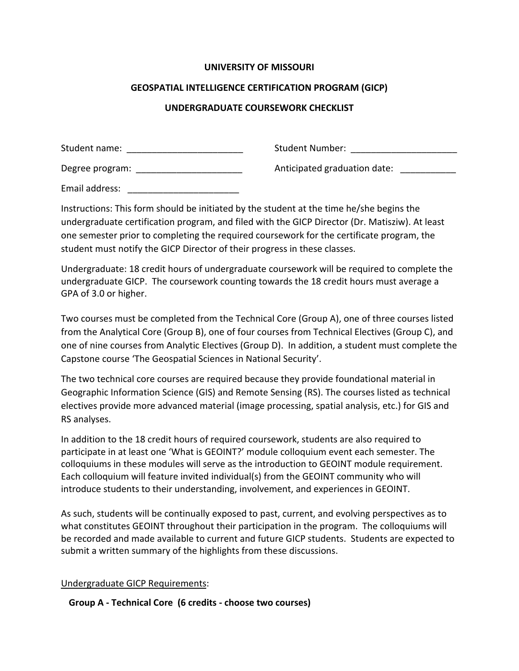### **UNIVERSITY OF MISSOURI**

### **GEOSPATIAL INTELLIGENCE CERTIFICATION PROGRAM (GICP)**

## **UNDERGRADUATE COURSEWORK CHECKLIST**

| Student name:   | Student Number:              |
|-----------------|------------------------------|
| Degree program: | Anticipated graduation date: |
| Email address:  |                              |

Instructions: This form should be initiated by the student at the time he/she begins the undergraduate certification program, and filed with the GICP Director (Dr. Matisziw). At least one semester prior to completing the required coursework for the certificate program, the student must notify the GICP Director of their progress in these classes.

Undergraduate: 18 credit hours of undergraduate coursework will be required to complete the undergraduate GICP. The coursework counting towards the 18 credit hours must average a GPA of 3.0 or higher.

Two courses must be completed from the Technical Core (Group A), one of three courses listed from the Analytical Core (Group B), one of four courses from Technical Electives (Group C), and one of nine courses from Analytic Electives (Group D). In addition, a student must complete the Capstone course 'The Geospatial Sciences in National Security'.

The two technical core courses are required because they provide foundational material in Geographic Information Science (GIS) and Remote Sensing (RS). The courses listed as technical electives provide more advanced material (image processing, spatial analysis, etc.) for GIS and RS analyses.

In addition to the 18 credit hours of required coursework, students are also required to participate in at least one 'What is GEOINT?' module colloquium event each semester. The colloquiums in these modules will serve as the introduction to GEOINT module requirement. Each colloquium will feature invited individual(s) from the GEOINT community who will introduce students to their understanding, involvement, and experiences in GEOINT.

As such, students will be continually exposed to past, current, and evolving perspectives as to what constitutes GEOINT throughout their participation in the program. The colloquiums will be recorded and made available to current and future GICP students. Students are expected to submit a written summary of the highlights from these discussions.

## Undergraduate GICP Requirements:

**Group A ‐ Technical Core (6 credits ‐ choose two courses)**